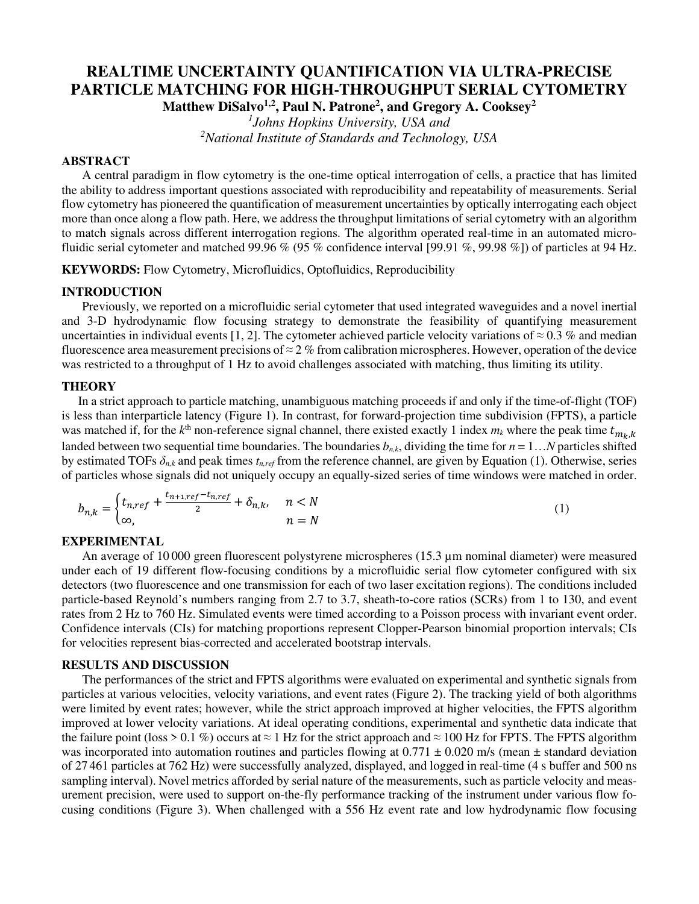# **REALTIME UNCERTAINTY QUANTIFICATION VIA ULTRA-PRECISE PARTICLE MATCHING FOR HIGH-THROUGHPUT SERIAL CYTOMETRY**

**Matthew DiSalvo1,2, Paul N. Patrone<sup>2</sup> , and Gregory A. Cooksey<sup>2</sup>**

*1 Johns Hopkins University, USA and <sup>2</sup>National Institute of Standards and Technology, USA*

# **ABSTRACT**

A central paradigm in flow cytometry is the one-time optical interrogation of cells, a practice that has limited the ability to address important questions associated with reproducibility and repeatability of measurements. Serial flow cytometry has pioneered the quantification of measurement uncertainties by optically interrogating each object more than once along a flow path. Here, we address the throughput limitations of serial cytometry with an algorithm to match signals across different interrogation regions. The algorithm operated real-time in an automated microfluidic serial cytometer and matched 99.96 % (95 % confidence interval [99.91 %, 99.98 %]) of particles at 94 Hz.

**KEYWORDS:** Flow Cytometry, Microfluidics, Optofluidics, Reproducibility

## **INTRODUCTION**

Previously, we reported on a microfluidic serial cytometer that used integrated waveguides and a novel inertial and 3-D hydrodynamic flow focusing strategy to demonstrate the feasibility of quantifying measurement uncertainties in individual events [1, 2]. The cytometer achieved particle velocity variations of  $\approx 0.3$  % and median fluorescence area measurement precisions of  $\approx$  2 % from calibration microspheres. However, operation of the device was restricted to a throughput of 1 Hz to avoid challenges associated with matching, thus limiting its utility.

## **THEORY**

In a strict approach to particle matching, unambiguous matching proceeds if and only if the time-of-flight (TOF) is less than interparticle latency (Figure 1). In contrast, for forward-projection time subdivision (FPTS), a particle was matched if, for the  $k^{\text{th}}$  non-reference signal channel, there existed exactly 1 index  $m_k$  where the peak time  $t_{m_k,k}$ landed between two sequential time boundaries. The boundaries  $b_{n,k}$ , dividing the time for  $n = 1...N$  particles shifted by estimated TOFs  $\delta_{n,k}$  and peak times  $t_{n,ref}$  from the reference channel, are given by Equation (1). Otherwise, series of particles whose signals did not uniquely occupy an equally-sized series of time windows were matched in order.

$$
b_{n,k} = \begin{cases} t_{n,ref} + \frac{t_{n+1,ref} - t_{n,ref}}{2} + \delta_{n,k}, & n < N \\ \infty, & n = N \end{cases}
$$
 (1)

#### **EXPERIMENTAL**

An average of 10 000 green fluorescent polystyrene microspheres (15.3 µm nominal diameter) were measured under each of 19 different flow-focusing conditions by a microfluidic serial flow cytometer configured with six detectors (two fluorescence and one transmission for each of two laser excitation regions). The conditions included particle-based Reynold's numbers ranging from 2.7 to 3.7, sheath-to-core ratios (SCRs) from 1 to 130, and event rates from 2 Hz to 760 Hz. Simulated events were timed according to a Poisson process with invariant event order. Confidence intervals (CIs) for matching proportions represent Clopper-Pearson binomial proportion intervals; CIs for velocities represent bias-corrected and accelerated bootstrap intervals.

## **RESULTS AND DISCUSSION**

The performances of the strict and FPTS algorithms were evaluated on experimental and synthetic signals from particles at various velocities, velocity variations, and event rates (Figure 2). The tracking yield of both algorithms were limited by event rates; however, while the strict approach improved at higher velocities, the FPTS algorithm improved at lower velocity variations. At ideal operating conditions, experimental and synthetic data indicate that the failure point (loss > 0.1 %) occurs at  $\approx$  1 Hz for the strict approach and  $\approx$  100 Hz for FPTS. The FPTS algorithm was incorporated into automation routines and particles flowing at  $0.771 \pm 0.020$  m/s (mean  $\pm$  standard deviation of 27 461 particles at 762 Hz) were successfully analyzed, displayed, and logged in real-time (4 s buffer and 500 ns sampling interval). Novel metrics afforded by serial nature of the measurements, such as particle velocity and measurement precision, were used to support on-the-fly performance tracking of the instrument under various flow focusing conditions (Figure 3). When challenged with a 556 Hz event rate and low hydrodynamic flow focusing